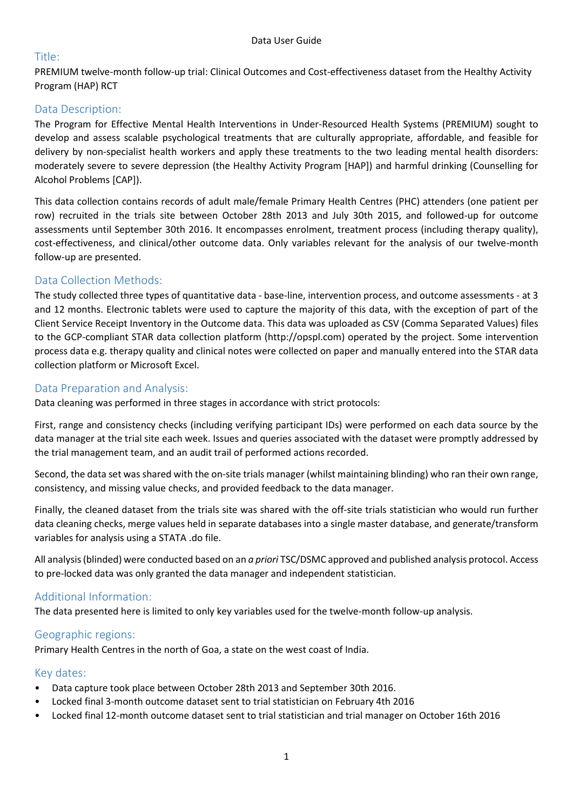## Title:

PREMIUM twelve-month follow-up trial: Clinical Outcomes and Cost-effectiveness dataset from the Healthy Activity Program (HAP) RCT

## Data Description:

The Program for Effective Mental Health Interventions in Under-Resourced Health Systems (PREMIUM) sought to develop and assess scalable psychological treatments that are culturally appropriate, affordable, and feasible for delivery by non-specialist health workers and apply these treatments to the two leading mental health disorders: moderately severe to severe depression (the Healthy Activity Program [HAP]) and harmful drinking (Counselling for Alcohol Problems [CAP]).

This data collection contains records of adult male/female Primary Health Centres (PHC) attenders (one patient per row) recruited in the trials site between October 28th 2013 and July 30th 2015, and followed-up for outcome assessments until September 30th 2016. It encompasses enrolment, treatment process (including therapy quality), cost-effectiveness, and clinical/other outcome data. Only variables relevant for the analysis of our twelve-month follow-up are presented.

# Data Collection Methods:

The study collected three types of quantitative data - base-line, intervention process, and outcome assessments - at 3 and 12 months. Electronic tablets were used to capture the majority of this data, with the exception of part of the Client Service Receipt Inventory in the Outcome data. This data was uploaded as CSV (Comma Separated Values) files to the GCP-compliant STAR data collection platform (http://opspl.com) operated by the project. Some intervention process data e.g. therapy quality and clinical notes were collected on paper and manually entered into the STAR data collection platform or Microsoft Excel.

#### Data Preparation and Analysis:

Data cleaning was performed in three stages in accordance with strict protocols:

First, range and consistency checks (including verifying participant IDs) were performed on each data source by the data manager at the trial site each week. Issues and queries associated with the dataset were promptly addressed by the trial management team, and an audit trail of performed actions recorded.

Second, the data set was shared with the on-site trials manager (whilst maintaining blinding) who ran their own range, consistency, and missing value checks, and provided feedback to the data manager.

Finally, the cleaned dataset from the trials site was shared with the off-site trials statistician who would run further data cleaning checks, merge values held in separate databases into a single master database, and generate/transform variables for analysis using a STATA .do file.

All analysis (blinded) were conducted based on an *a priori* TSC/DSMC approved and published analysis protocol. Access to pre-locked data was only granted the data manager and independent statistician.

# Additional Information:

The data presented here is limited to only key variables used for the twelve-month follow-up analysis.

#### Geographic regions:

Primary Health Centres in the north of Goa, a state on the west coast of India.

#### Key dates:

- Data capture took place between October 28th 2013 and September 30th 2016.
- Locked final 3-month outcome dataset sent to trial statistician on February 4th 2016
- Locked final 12-month outcome dataset sent to trial statistician and trial manager on October 16th 2016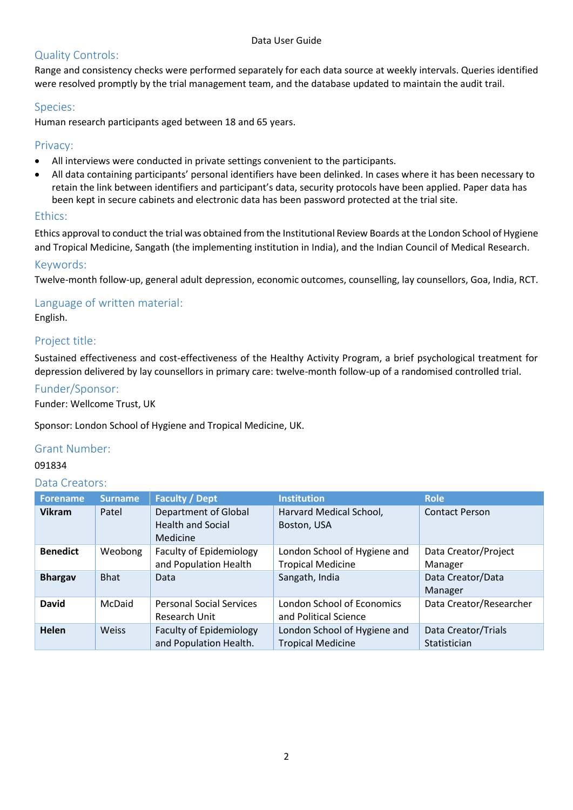# Quality Controls:

Range and consistency checks were performed separately for each data source at weekly intervals. Queries identified were resolved promptly by the trial management team, and the database updated to maintain the audit trail.

## Species:

Human research participants aged between 18 and 65 years.

## Privacy:

- All interviews were conducted in private settings convenient to the participants.
- All data containing participants' personal identifiers have been delinked. In cases where it has been necessary to retain the link between identifiers and participant's data, security protocols have been applied. Paper data has been kept in secure cabinets and electronic data has been password protected at the trial site.

## Ethics:

Ethics approval to conduct the trial was obtained from the Institutional Review Boards at the London School of Hygiene and Tropical Medicine, Sangath (the implementing institution in India), and the Indian Council of Medical Research.

## Keywords:

Twelve-month follow-up, general adult depression, economic outcomes, counselling, lay counsellors, Goa, India, RCT.

# Language of written material:

English.

# Project title:

Sustained effectiveness and cost-effectiveness of the Healthy Activity Program, a brief psychological treatment for depression delivered by lay counsellors in primary care: twelve-month follow-up of a randomised controlled trial.

## Funder/Sponsor:

Funder: Wellcome Trust, UK

Sponsor: London School of Hygiene and Tropical Medicine, UK.

#### Grant Number:

#### 091834

#### Data Creators:

| <b>Forename</b> | <b>Surname</b> | <b>Faculty / Dept</b>                                               | <b>Institution</b>                                         | <b>Role</b>                         |
|-----------------|----------------|---------------------------------------------------------------------|------------------------------------------------------------|-------------------------------------|
| <b>Vikram</b>   | Patel          | <b>Department of Global</b><br><b>Health and Social</b><br>Medicine | Harvard Medical School,<br>Boston, USA                     | <b>Contact Person</b>               |
| <b>Benedict</b> | Weobong        | <b>Faculty of Epidemiology</b><br>and Population Health             | London School of Hygiene and<br><b>Tropical Medicine</b>   | Data Creator/Project<br>Manager     |
| <b>Bhargav</b>  | <b>Bhat</b>    | Data                                                                | Sangath, India                                             | Data Creator/Data<br>Manager        |
| <b>David</b>    | McDaid         | <b>Personal Social Services</b><br>Research Unit                    | <b>London School of Economics</b><br>and Political Science | Data Creator/Researcher             |
| Helen           | <b>Weiss</b>   | <b>Faculty of Epidemiology</b><br>and Population Health.            | London School of Hygiene and<br><b>Tropical Medicine</b>   | Data Creator/Trials<br>Statistician |